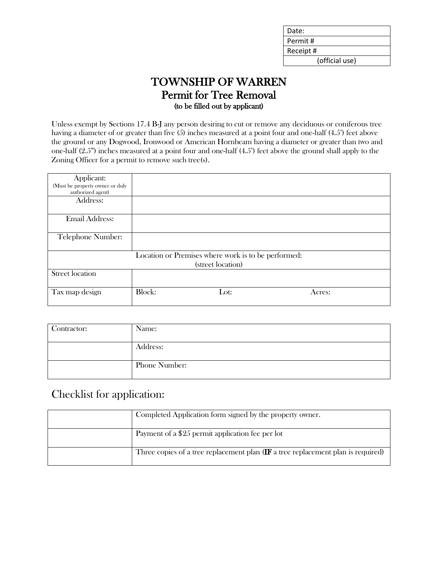| Date:          |
|----------------|
| Permit#        |
| Receipt#       |
| (official use) |

## TOWNSHIP OF WARREN Permit for Tree Removal (to be filled out by applicant)

Unless exempt by Sections 17.4 B-J any person desiring to cut or remove any deciduous or coniferous tree having a diameter of or greater than five (5) inches measured at a point four and one-half (4.5') feet above the ground or any Dogwood, Ironwood or American Hornbeam having a diameter or greater than two and one-half (2.5") inches measured at a point four and one-half (4.5') feet above the ground shall apply to the Zoning Officer for a permit to remove such tree(s).

| Applicant:<br>(Must be property owner or duly<br>authorized agent) |        |                                                                          |        |  |
|--------------------------------------------------------------------|--------|--------------------------------------------------------------------------|--------|--|
| Address:                                                           |        |                                                                          |        |  |
| <b>Email Address:</b>                                              |        |                                                                          |        |  |
| Telephone Number:                                                  |        |                                                                          |        |  |
|                                                                    |        | Location or Premises where work is to be performed:<br>(street location) |        |  |
| <b>Street location</b>                                             |        |                                                                          |        |  |
|                                                                    |        |                                                                          |        |  |
| Tax map design                                                     | Block: | Lot:                                                                     | Acres: |  |

| Contractor: | Name:         |
|-------------|---------------|
|             | Address:      |
|             | Phone Number: |

# Checklist for application:

| Completed Application form signed by the property owner.                                            |
|-----------------------------------------------------------------------------------------------------|
| Payment of a \$25 permit application fee per lot                                                    |
| Three copies of a tree replacement plan $(\mathbf{IF} \text{ a tree replacement plan is required})$ |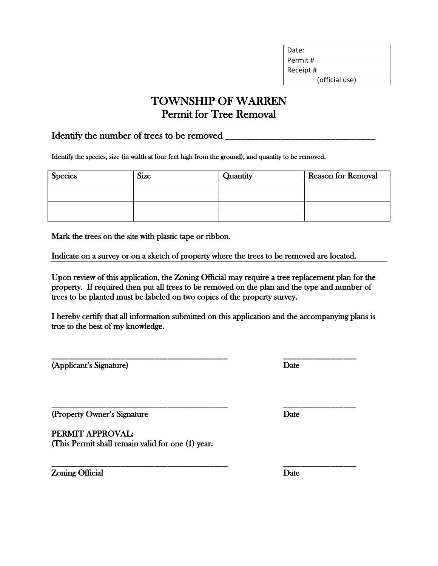| Date:          |  |
|----------------|--|
| Permit#        |  |
| Receipt #      |  |
| (official use) |  |

# TOWNSHIP OF WARREN Permit for Tree Removal

### Identify the number of trees to be removed \_\_\_\_\_\_\_\_\_\_\_\_\_\_\_\_\_\_\_\_\_\_\_\_\_\_\_\_\_\_

Identify the species, size (in width at four feet high from the ground), and quantity to be removed.

| <b>Species</b> | <b>Size</b> | Quantity | <b>Reason for Removal</b> |
|----------------|-------------|----------|---------------------------|
|                |             |          |                           |
|                |             |          |                           |
|                |             |          |                           |
|                |             |          |                           |

Mark the trees on the site with plastic tape or ribbon.

Indicate on a survey or on a sketch of property where the trees to be removed are located.

Upon review of this application, the Zoning Official may require a tree replacement plan for the property. If required then put all trees to be removed on the plan and the type and number of trees to be planted must be labeled on two copies of the property survey.

I hereby certify that all information submitted on this application and the accompanying plans is true to the best of my knowledge.

\_\_\_\_\_\_\_\_\_\_\_\_\_\_\_\_\_\_\_\_\_\_\_\_\_\_\_\_\_\_\_\_\_\_\_\_\_\_\_\_\_ \_\_\_\_\_\_\_\_\_\_\_\_\_\_\_\_\_

\_\_\_\_\_\_\_\_\_\_\_\_\_\_\_\_\_\_\_\_\_\_\_\_\_\_\_\_\_\_\_\_\_\_\_\_\_\_\_\_\_ \_\_\_\_\_\_\_\_\_\_\_\_\_\_\_\_\_

(Applicant's Signature) Date

(Property Owner's Signature Date

PERMIT APPROVAL: (This Permit shall remain valid for one (1) year.

**Zoning Official Date** 

\_\_\_\_\_\_\_\_\_\_\_\_\_\_\_\_\_\_\_\_\_\_\_\_\_\_\_\_\_\_\_\_\_\_\_\_\_\_\_\_\_ \_\_\_\_\_\_\_\_\_\_\_\_\_\_\_\_\_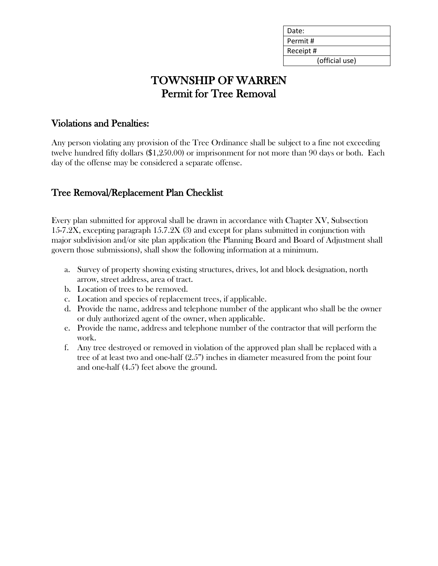| Date:          |
|----------------|
| Permit#        |
| Receipt#       |
| (official use) |

# TOWNSHIP OF WARREN Permit for Tree Removal

## Violations and Penalties:

Any person violating any provision of the Tree Ordinance shall be subject to a fine not exceeding twelve hundred fifty dollars (\$1,250.00) or imprisonment for not more than 90 days or both. Each day of the offense may be considered a separate offense.

## Tree Removal/Replacement Plan Checklist

Every plan submitted for approval shall be drawn in accordance with Chapter XV, Subsection 15-7.2X, excepting paragraph 15.7.2X (3) and except for plans submitted in conjunction with major subdivision and/or site plan application (the Planning Board and Board of Adjustment shall govern those submissions), shall show the following information at a minimum.

- a. Survey of property showing existing structures, drives, lot and block designation, north arrow, street address, area of tract.
- b. Location of trees to be removed.
- c. Location and species of replacement trees, if applicable.
- d. Provide the name, address and telephone number of the applicant who shall be the owner or duly authorized agent of the owner, when applicable.
- e. Provide the name, address and telephone number of the contractor that will perform the work.
- f. Any tree destroyed or removed in violation of the approved plan shall be replaced with a tree of at least two and one-half (2.5") inches in diameter measured from the point four and one-half (4.5') feet above the ground.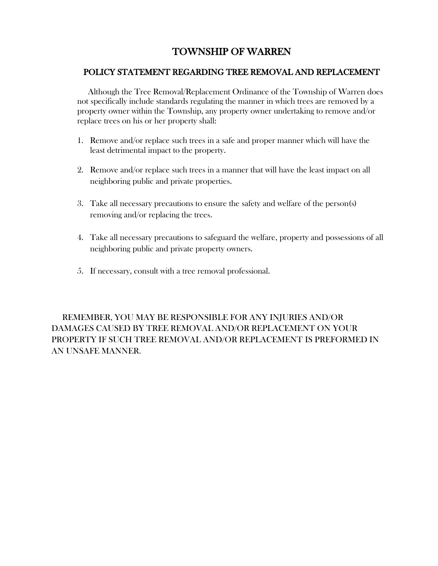## TOWNSHIP OF WARREN

#### POLICY STATEMENT REGARDING TREE REMOVAL AND REPLACEMENT

 Although the Tree Removal/Replacement Ordinance of the Township of Warren does not specifically include standards regulating the manner in which trees are removed by a property owner within the Township, any property owner undertaking to remove and/or replace trees on his or her property shall:

- 1. Remove and/or replace such trees in a safe and proper manner which will have the least detrimental impact to the property.
- 2. Remove and/or replace such trees in a manner that will have the least impact on all neighboring public and private properties.
- 3. Take all necessary precautions to ensure the safety and welfare of the person(s) removing and/or replacing the trees.
- 4. Take all necessary precautions to safeguard the welfare, property and possessions of all neighboring public and private property owners.
- 5. If necessary, consult with a tree removal professional.

 REMEMBER, YOU MAY BE RESPONSIBLE FOR ANY INJURIES AND/OR DAMAGES CAUSED BY TREE REMOVAL AND/OR REPLACEMENT ON YOUR PROPERTY IF SUCH TREE REMOVAL AND/OR REPLACEMENT IS PREFORMED IN AN UNSAFE MANNER.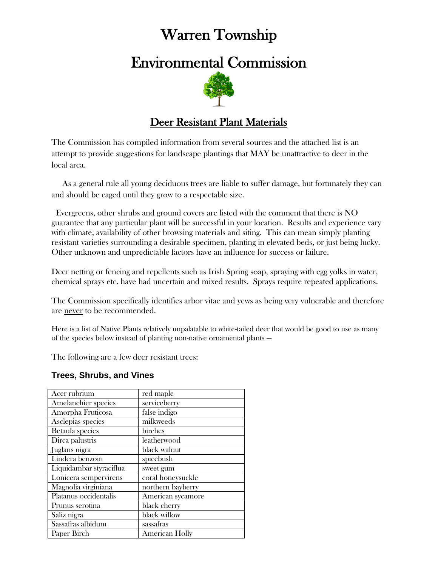# Warren Township

# Environmental Commission



# Deer Resistant Plant Materials

The Commission has compiled information from several sources and the attached list is an attempt to provide suggestions for landscape plantings that MAY be unattractive to deer in the local area.

 As a general rule all young deciduous trees are liable to suffer damage, but fortunately they can and should be caged until they grow to a respectable size.

 Evergreens, other shrubs and ground covers are listed with the comment that there is NO guarantee that any particular plant will be successful in your location. Results and experience vary with climate, availability of other browsing materials and siting. This can mean simply planting resistant varieties surrounding a desirable specimen, planting in elevated beds, or just being lucky. Other unknown and unpredictable factors have an influence for success or failure.

Deer netting or fencing and repellents such as Irish Spring soap, spraying with egg yolks in water, chemical sprays etc. have had uncertain and mixed results. Sprays require repeated applications.

The Commission specifically identifies arbor vitae and yews as being very vulnerable and therefore are never to be recommended.

Here is a list of Native Plants relatively unpalatable to white-tailed deer that would be good to use as many of the species below instead of planting non-native ornamental plants —

The following are a few deer resistant trees:

#### **Trees, Shrubs, and Vines**

| Acer rubrium            | red maple             |
|-------------------------|-----------------------|
| Amelanchier species     | serviceberry          |
| Amorpha Fruticosa       | false indigo          |
| Asclepias species       | milkweeds             |
| Betaula species         | birches               |
| Dirca palustris         | leatherwood           |
| Juglans nigra           | black walnut          |
| Lindera benzoin         | spicebush             |
| Liquidambar styraciflua | sweet gum             |
| Lonicera sempervirens   | coral honeysuckle     |
| Magnolia virginiana     | northern bayberry     |
| Platanus occidentalis   | American sycamore     |
| Prunus serotina         | black cherry          |
| Saliz nigra             | black willow          |
| Sassafras albidum       | sassafras             |
| Paper Birch             | <b>American Holly</b> |